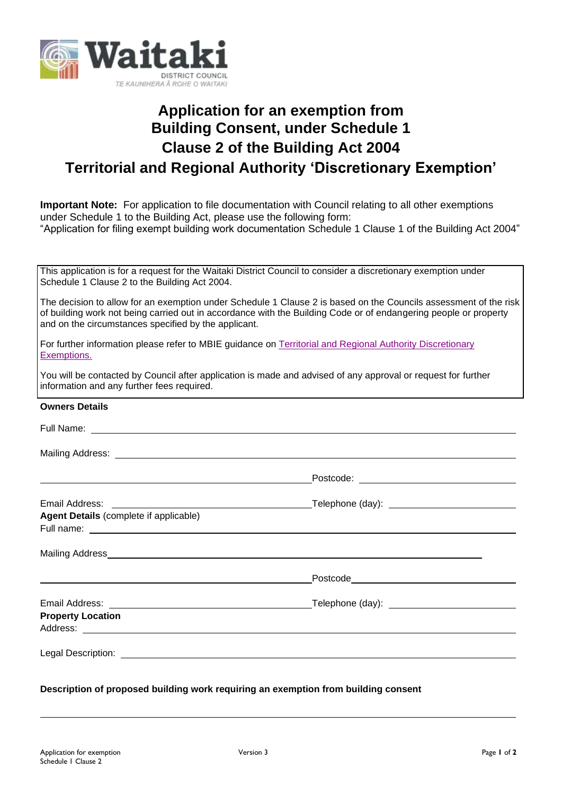

## **Application for an exemption from Building Consent, under Schedule 1 Clause 2 of the Building Act 2004 Territorial and Regional Authority 'Discretionary Exemption'**

**Important Note:** For application to file documentation with Council relating to all other exemptions under Schedule 1 to the Building Act, please use the following form: "Application for filing exempt building work documentation Schedule 1 Clause 1 of the Building Act 2004"

This application is for a request for the Waitaki District Council to consider a discretionary exemption under Schedule 1 Clause 2 to the Building Act 2004.

The decision to allow for an exemption under Schedule 1 Clause 2 is based on the Councils assessment of the risk of building work not being carried out in accordance with the Building Code or of endangering people or property and on the circumstances specified by the applicant.

For further information please refer to MBIE guidance on Territorial and Regional Authority Discretionary [Exemptions.](https://www.building.govt.nz/projects-and-consents/planning-a-successful-build/scope-and-design/check-if-you-need-consents/building-work-that-doesnt-need-a-building-consent/everything-you-need-to-know/territorial-and-regional-authority-discretionary-exemptions/)

You will be contacted by Council after application is made and advised of any approval or request for further information and any further fees required.

## **Owners Details**

| Mailing Address: National Address and Address and Address and Address and Address and Address and Address and A |  |
|-----------------------------------------------------------------------------------------------------------------|--|
|                                                                                                                 |  |
|                                                                                                                 |  |
| <b>Agent Details (complete if applicable)</b>                                                                   |  |
|                                                                                                                 |  |
|                                                                                                                 |  |
| <b>Property Location</b>                                                                                        |  |
|                                                                                                                 |  |

**Description of proposed building work requiring an exemption from building consent**